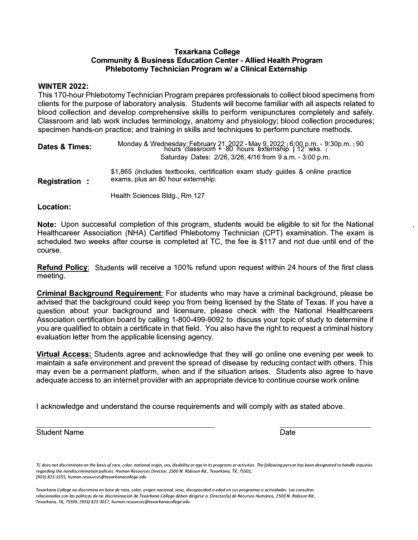# **Texarkana College Community & Business Education Center - Allied Health Program Phlebotomy Technician Program w/ a Clinical Externship**

#### **WINTER 2022:**

This 170-hour PhlebotomyTechnician Program prepares professionals to collect blood specimens from clients for the purpose of laboratory analysis. Students will become familiar with all aspects related to blood collection and develop comprehensive skills to perform venipunctures completely and safely. Classroom and lab work includes terminology, anatomy and physiology; blood collection procedures; specimen hands-on practice; and training in skills and techniques to perform puncture methods.

| Dates & Times:       | Monday & Wednesday; February 21, 2022 - May 9, 2022 $\mid 6:00 \text{ p.m.} \cdot 9:30 \text{ p.m.} \mid 90$<br>hours classroom + 80 hours externship   12 wks. $\mid$<br>Saturday Dates: 2/26, 3/26, 4/16 from 9 a.m. - 3:00 p.m. |
|----------------------|------------------------------------------------------------------------------------------------------------------------------------------------------------------------------------------------------------------------------------|
| <b>Registration:</b> | \$1,865 (includes textbooks, certification exam study guides & online practice<br>exams, plus an 80 hour externship.                                                                                                               |
|                      | Health Sciences Bldg., Rm 127                                                                                                                                                                                                      |

#### **Location:**

**Note:** Upon successful completion of this program, students would be eligible to sit for the National Healthcareer Association (NHA) Certified Phlebotomy Technician (CPT) examination. The exam is scheduled two weeks after course is completed at TC, the fee is \$117 and not due until end of the course.

**Refund Policy:** Students will receive a 100% refund upon request within 24 hours of the first class meeting.

**Criminal Background Requirement:** For students who may have a criminal background, please be advised that the background could keep you from being licensed by the State of Texas. If you have a question about your background and licensure, please check with the National Healthcareers Association certification board by calling 1-800-499-9092 to discuss your topic of study to determine if you are qualified to obtain a certificate in that field. You also have the right to request a criminal history evaluation letter from the applicable licensing agency.

**Virtual Access:** Students agree and acknowledge that they will go online one evening per week to maintain a safe environment and prevent the spread of disease by reducing contact with others. This may even be a permanent platform, when and if the situation arises. Students also agree to have adequate access to an internet provider with an appropriate device to continue course work online

I acknowledge and understand the course requirements and will comply with as stated above.

Student Name **Date** 

*TC does not discriminate on the basis of race, color, national origin, sex, disability or age in its programs or activities. The following person has been designated ta handle inquiries regarding the nondiscrimination policies: Human Resources Director, 2500 N. Robison Rd., Texarkana, TX, 75501, /903} 823-3355, human.resources@texarkanacollege.edu* 

*Texarkana College no discrimina en base de raza, color, origen nacional, sexo, discapacidod o edad en sus programas o actividades. las consultas relacionadas con las politicas de no discriminaci6n de Texarkana College deben dirigirse a: Director/a) de Recursos Humanos, 2500 N. Robison Rd., Texarkana, TX, 75599, /903) 823-3017, human.resources@texarkanacollege.edu*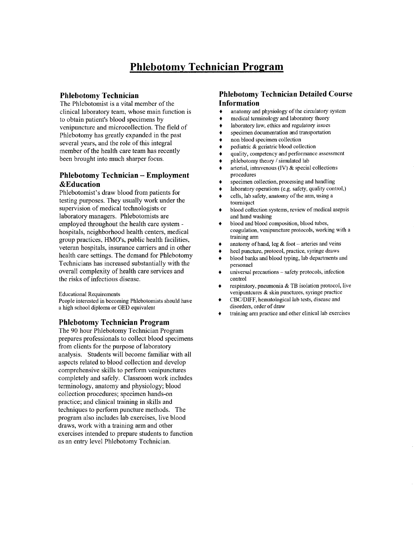# **Phlebotomy Technician Program**

## **Phlebotomy Technician**

The Phlebotomist is a vital member of the clinical laboratory team, whose main function is to obtain patient's blood specimens by venipuncture and microcollection. The field of Phlebotomy has greatly expanded in the past several years, and the role of this integral member of the health care team has recently been brought into much sharper focus.

# **Phlebotomy Technician - Employment &Education**

Phlebotomist's draw blood from patients for testing purposes. They usually work under the supervision of medical technologists or laboratory managers. Phlebotomists are employed throughout the health care system hospitals, neighborhood health centers, medical group practices, HMO's, public health facilities, veteran hospitals, insurance carriers and in other health care settings. The demand for Phlebotomy Technicians has increased substantially with the overall complexity of health care services and the risks of infectious disease.

**Educational Requirements** 

People interested in becoming Phlebotomists should have a high school diploma or GED equivalent

#### **Phlebotomy Technician Program**

The 90 hour Phlebotomy Technician Program prepares professionals to collect blood specimens from clients for the purpose of laboratory analysis. Students will become familiar with all aspects related to blood collection and develop comprehensive skills to perform venipunctures completely and safely. Classroom work includes terminology, anatomy and physiology; blood collection procedures; specimen hands-on practice; and clinical training in skills and techniques to perform puncture methods. The program also includes lab exercises, live blood draws, work with a training arm and other exercises intended to prepare students to function as an entry level Phlebotomy Technician.

# **Phlebotomy Technician Detailed Course Information**

- anatomy and physiology of the circulatory system  $\bullet$
- medical terminology and laboratory theory  $\bullet$
- laboratory law, ethics and regulatory issues ۰
- specimen documentation and transportation ٠
- non blood specimen collection ٠
- pediatric & geriatric blood collection ٠
- quality, competency and performance assessment
- phlebotomy theory / simulated lab
- arterial, intravenous  $(IV)$  & special collections procedures
- specimen collection, processing and handling
- laboratory operations (e.g. safety, quality control,)
- cells, lab safety, anatomy of the arm, using a  $\bullet$ tourniquet
- $\bullet$ blood collection systems, review of medical asepsis and hand washing
- blood and blood composition, blood tubes, ٠ coagulation, venipuncture protocols, working with a training arm
- anatomy of hand, leg  $&$  foot -- arteries and veins ٠
- heel puncture, protocol, practice, syringe draws
- blood banks and blood typing, lab departments and ٠ personnel
- universal precautions safety protocols, infection  $\bullet$ control
- respiratory, pneumonia & TB isolation protocol, live venipuntcures & skin punctures, syringe practice
- CBC/DIFF, hematological lab tests, disease and Á disorders, order of draw
- training arm practice and other clinical lab exercises